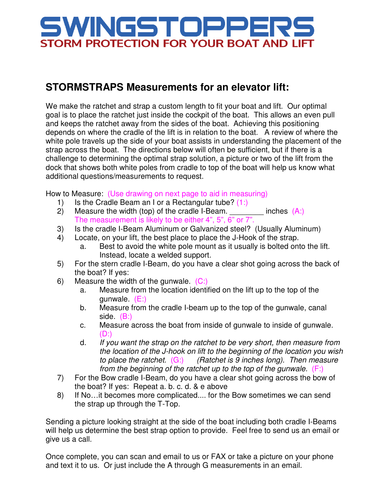## WINGSTOPPER! STORM PROTECTION FOR YOUR BOAT AND LIFT

## **STORMSTRAPS Measurements for an elevator lift:**

We make the ratchet and strap a custom length to fit your boat and lift. Our optimal goal is to place the ratchet just inside the cockpit of the boat. This allows an even pull and keeps the ratchet away from the sides of the boat. Achieving this positioning depends on where the cradle of the lift is in relation to the boat. A review of where the white pole travels up the side of your boat assists in understanding the placement of the strap across the boat. The directions below will often be sufficient, but if there is a challenge to determining the optimal strap solution, a picture or two of the lift from the dock that shows both white poles from cradle to top of the boat will help us know what additional questions/measurements to request.

How to Measure: (Use drawing on next page to aid in measuring)

- 1) Is the Cradle Beam an I or a Rectangular tube?  $(1:)$
- 2) Measure the width (top) of the cradle I-Beam.  $\qquad \qquad$  inches  $(A:)$ The measurement is likely to be either 4", 5", 6" or 7".
- 3) Is the cradle I-Beam Aluminum or Galvanized steel? (Usually Aluminum)
- 4) Locate, on your lift, the best place to place the J-Hook of the strap.
	- a. Best to avoid the white pole mount as it usually is bolted onto the lift. Instead, locate a welded support.
- 5) For the stern cradle I-Beam, do you have a clear shot going across the back of the boat? If yes:
- 6) Measure the width of the gunwale.  $(C_i)$ 
	- a. Measure from the location identified on the lift up to the top of the gunwale. (E:)
	- b. Measure from the cradle I-beam up to the top of the gunwale, canal side. (B:)
	- c. Measure across the boat from inside of gunwale to inside of gunwale.  $(D:$
	- d. If you want the strap on the ratchet to be very short, then measure from the location of the J-hook on lift to the beginning of the location you wish to place the ratchet.  $(G_i)$  (Ratchet is 9 inches long). Then measure from the beginning of the ratchet up to the top of the gunwale. (F:)
- 7) For the Bow cradle I-Beam, do you have a clear shot going across the bow of the boat? If yes: Repeat a. b. c. d. & e above
- 8) If No…it becomes more complicated.... for the Bow sometimes we can send the strap up through the T-Top.

Sending a picture looking straight at the side of the boat including both cradle I-Beams will help us determine the best strap option to provide. Feel free to send us an email or give us a call.

Once complete, you can scan and email to us or FAX or take a picture on your phone and text it to us. Or just include the A through G measurements in an email.